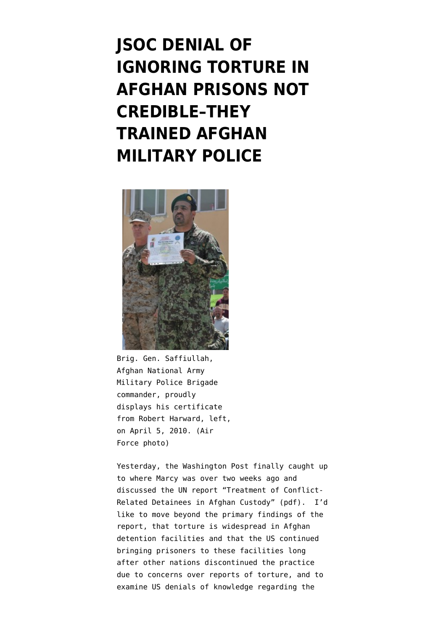# **[JSOC DENIAL OF](https://www.emptywheel.net/2011/10/31/jsoc-denial-of-ignoring-torture-in-afghan-prisons-not-credible-they-trained-afghan-military-police/) [IGNORING TORTURE IN](https://www.emptywheel.net/2011/10/31/jsoc-denial-of-ignoring-torture-in-afghan-prisons-not-credible-they-trained-afghan-military-police/) [AFGHAN PRISONS NOT](https://www.emptywheel.net/2011/10/31/jsoc-denial-of-ignoring-torture-in-afghan-prisons-not-credible-they-trained-afghan-military-police/) [CREDIBLE–THEY](https://www.emptywheel.net/2011/10/31/jsoc-denial-of-ignoring-torture-in-afghan-prisons-not-credible-they-trained-afghan-military-police/) [TRAINED AFGHAN](https://www.emptywheel.net/2011/10/31/jsoc-denial-of-ignoring-torture-in-afghan-prisons-not-credible-they-trained-afghan-military-police/) [MILITARY POLICE](https://www.emptywheel.net/2011/10/31/jsoc-denial-of-ignoring-torture-in-afghan-prisons-not-credible-they-trained-afghan-military-police/)**



Brig. Gen. Saffiullah, Afghan National Army Military Police Brigade commander, proudly displays his certificate from Robert Harward, left, on April 5, 2010. (Air Force photo)

Yesterday, the [Washington Post](http://www.washingtonpost.com/world/asia_pacific/us-had-advance-warning-of-abuse-at-afghan-prisons-officials-say/2011/10/21/gIQA7Dg2VM_story.html) finally caught up to [where Marcy was over two weeks ago](http://www.emptywheel.net/2011/10/11/is-the-us-outsourcing-torture-again/) and discussed the UN report "[Treatment of Conflict-](http://unama.unmissions.org/Portals/UNAMA/Documents/October10_%202011_UNAMA_Detention_Full-Report_ENG.pdf)[Related Detainees in Afghan Custody](http://unama.unmissions.org/Portals/UNAMA/Documents/October10_%202011_UNAMA_Detention_Full-Report_ENG.pdf)" (pdf). I'd like to move beyond the primary findings of the report, that torture is widespread in Afghan detention facilities and that the US continued bringing prisoners to these facilities long after other nations discontinued the practice due to concerns over reports of torture, and to examine US denials of knowledge regarding the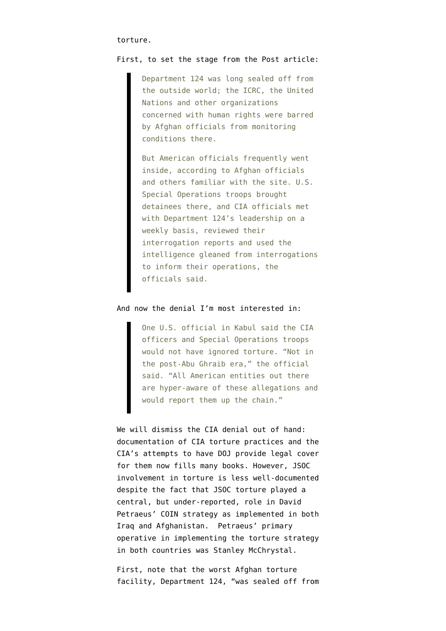#### First, to set the stage from the Post article:

Department 124 was long sealed off from the outside world; the ICRC, the United Nations and other organizations concerned with human rights were barred by Afghan officials from monitoring conditions there.

But American officials frequently went inside, according to Afghan officials and others familiar with the site. U.S. Special Operations troops brought detainees there, and CIA officials met with Department 124's leadership on a weekly basis, reviewed their interrogation reports and used the intelligence gleaned from interrogations to inform their operations, the officials said.

## And now the denial I'm most interested in:

One U.S. official in Kabul said the CIA officers and Special Operations troops would not have ignored torture. "Not in the post-Abu Ghraib era," the official said. "All American entities out there are hyper-aware of these allegations and would report them up the chain."

We will dismiss the CIA denial out of hand: documentation of CIA torture practices and the CIA's attempts to have DOJ provide legal cover for them now fills many books. However, JSOC involvement in torture is less well-documented despite the fact that JSOC torture played a central, but under-reported, role in David Petraeus' COIN strategy as implemented in both Iraq and Afghanistan. Petraeus' primary operative in implementing the torture strategy in both countries was Stanley McChrystal.

First, note that the worst Afghan torture facility, Department 124, "was sealed off from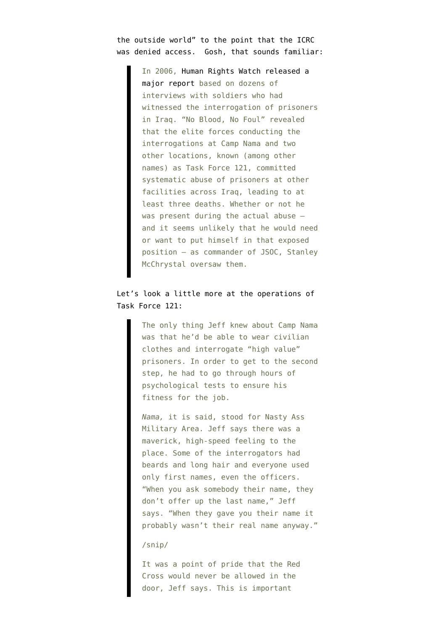the outside world" to the point that the ICRC was denied access. Gosh, that [sounds familiar:](http://www.esquire.com/the-side/feature/who-is-stanley-mcchrystal-051909-2)

> In 2006, [Human Rights Watch released a](http://www.hrw.org/en/reports/2006/07/22/no-blood-no-foul) [major report](http://www.hrw.org/en/reports/2006/07/22/no-blood-no-foul) based on dozens of interviews with soldiers who had witnessed the interrogation of prisoners in Iraq. "No Blood, No Foul" revealed that the elite forces conducting the interrogations at Camp Nama and two other locations, known (among other names) as Task Force 121, committed systematic abuse of prisoners at other facilities across Iraq, leading to at least three deaths. Whether or not he was present during the actual abuse and it seems unlikely that he would need or want to put himself in that exposed position — as commander of JSOC, Stanley McChrystal oversaw them.

# Let's look a little more at the [operations of](http://www.esquire.com/features/ESQ0806TERROR_102) [Task Force 121](http://www.esquire.com/features/ESQ0806TERROR_102):

The only thing Jeff knew about Camp Nama was that he'd be able to wear civilian clothes and interrogate "high value" prisoners. In order to get to the second step, he had to go through hours of psychological tests to ensure his fitness for the job.

*Nama,* it is said, stood for Nasty Ass Military Area. Jeff says there was a maverick, high-speed feeling to the place. Some of the interrogators had beards and long hair and everyone used only first names, even the officers. "When you ask somebody their name, they don't offer up the last name," Jeff says. "When they gave you their name it probably wasn't their real name anyway."

### /snip/

It was a point of pride that the Red Cross would never be allowed in the door, Jeff says. This is important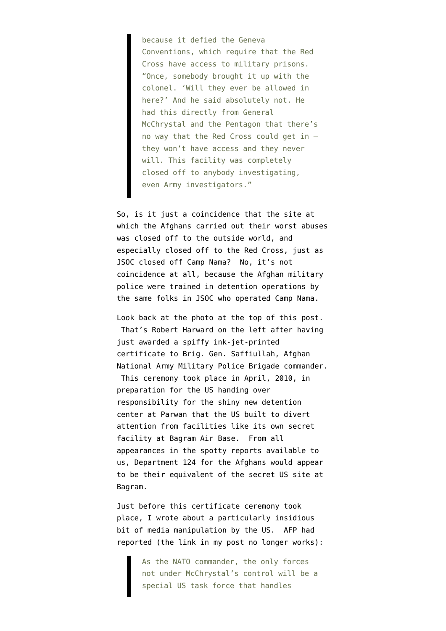because it defied the Geneva Conventions, which require that the Red Cross have access to military prisons. "Once, somebody brought it up with the colonel. 'Will they ever be allowed in here?' And he said absolutely not. He had this directly from General McChrystal and the Pentagon that there's no way that the Red Cross could get in they won't have access and they never will. This facility was completely closed off to anybody investigating, even Army investigators."

So, is it just a coincidence that the site at which the Afghans carried out their worst abuses was closed off to the outside world, and especially closed off to the Red Cross, just as JSOC closed off Camp Nama? No, it's not coincidence at all, because the Afghan military police were trained in detention operations by the same folks in JSOC who operated Camp Nama.

Look back at the photo at the top of this post. That's Robert Harward on the left after having just awarded a spiffy ink-jet-printed certificate to Brig. Gen. Saffiullah, Afghan National Army Military Police Brigade commander.

 This ceremony took place in April, 2010, in preparation for the US handing over responsibility for the shiny new detention center at Parwan that the US built to divert attention from facilities like its own [secret](http://news.bbc.co.uk/2/hi/8674179.stm) [facility at Bagram Air Base](http://news.bbc.co.uk/2/hi/8674179.stm). From all appearances in the spotty reports available to us, Department 124 for the Afghans would appear to be their equivalent of the secret US site at Bagram.

Just before this certificate ceremony took place[, I wrote](http://my.firedoglake.com/jimwhite/2010/03/12/central-command-mcchrystal-does-have-command-authority-over-detainee-operations-unit/) about a particularly insidious bit of media manipulation by the US. AFP had reported (the link in my post no longer works):

> As the NATO commander, the only forces not under McChrystal's control will be a special US task force that handles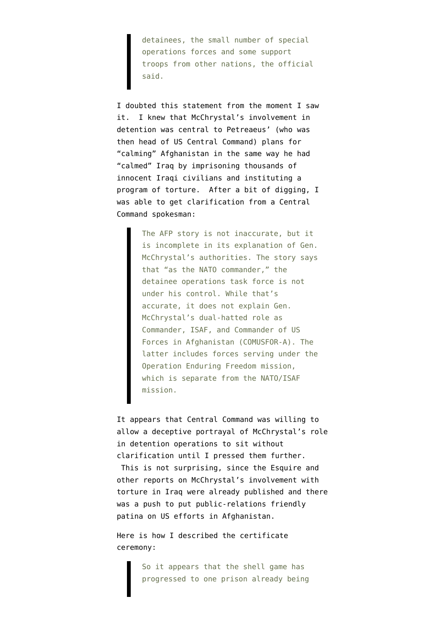detainees, the small number of special operations forces and some support troops from other nations, the official said.

I doubted this statement from the moment I saw it. I knew that McChrystal's involvement in detention was central to Petreaeus' (who was then head of US Central Command) plans for "calming" Afghanistan in the same way he had "calmed" Iraq by imprisoning thousands of innocent Iraqi civilians and instituting a program of torture. After a bit of digging, I was able to get clarification from a Central Command spokesman:

> The AFP story is not inaccurate, but it is incomplete in its explanation of Gen. McChrystal's authorities. The story says that "as the NATO commander," the detainee operations task force is not under his control. While that's accurate, it does not explain Gen. McChrystal's dual-hatted role as Commander, ISAF, and Commander of US Forces in Afghanistan (COMUSFOR-A). The latter includes forces serving under the Operation Enduring Freedom mission, which is separate from the NATO/ISAF mission.

It appears that Central Command was willing to allow a deceptive portrayal of McChrystal's role in detention operations to sit without clarification until I pressed them further. This is not surprising, since the Esquire and other reports on McChrystal's involvement with torture in Iraq were already published and there was a push to put public-relations friendly patina on US efforts in Afghanistan.

Here is [how I described the certificate](http://my.firedoglake.com/jimwhite/2010/04/08/another-move-in-the-afghan-prison-shell-games-certificates/) [ceremony:](http://my.firedoglake.com/jimwhite/2010/04/08/another-move-in-the-afghan-prison-shell-games-certificates/)

> So it appears that the shell game has progressed to one prison already being